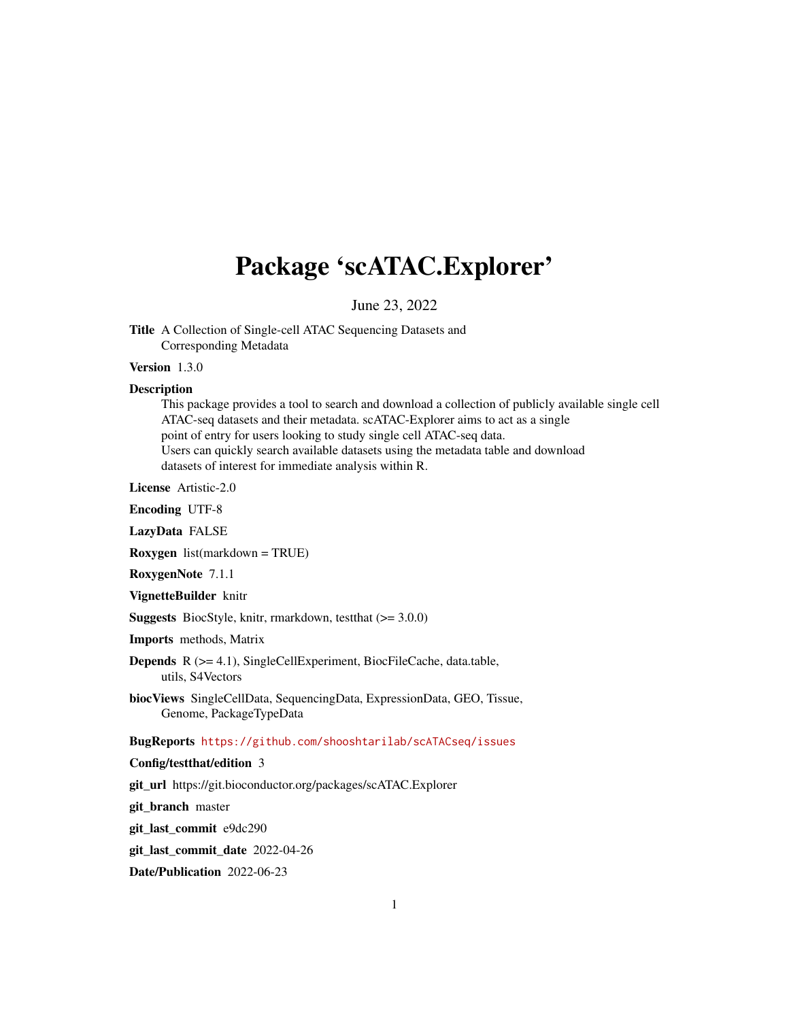## Package 'scATAC.Explorer'

June 23, 2022

Title A Collection of Single-cell ATAC Sequencing Datasets and Corresponding Metadata

#### Version 1.3.0

#### **Description**

This package provides a tool to search and download a collection of publicly available single cell ATAC-seq datasets and their metadata. scATAC-Explorer aims to act as a single point of entry for users looking to study single cell ATAC-seq data. Users can quickly search available datasets using the metadata table and download datasets of interest for immediate analysis within R.

License Artistic-2.0

Encoding UTF-8

LazyData FALSE

Roxygen list(markdown = TRUE)

RoxygenNote 7.1.1

VignetteBuilder knitr

**Suggests** BiocStyle, knitr, rmarkdown, test that  $(>= 3.0.0)$ 

Imports methods, Matrix

Depends R (>= 4.1), SingleCellExperiment, BiocFileCache, data.table, utils, S4Vectors

biocViews SingleCellData, SequencingData, ExpressionData, GEO, Tissue, Genome, PackageTypeData

BugReports <https://github.com/shooshtarilab/scATACseq/issues>

#### Config/testthat/edition 3

git\_url https://git.bioconductor.org/packages/scATAC.Explorer

git\_branch master

git\_last\_commit e9dc290

git\_last\_commit\_date 2022-04-26

Date/Publication 2022-06-23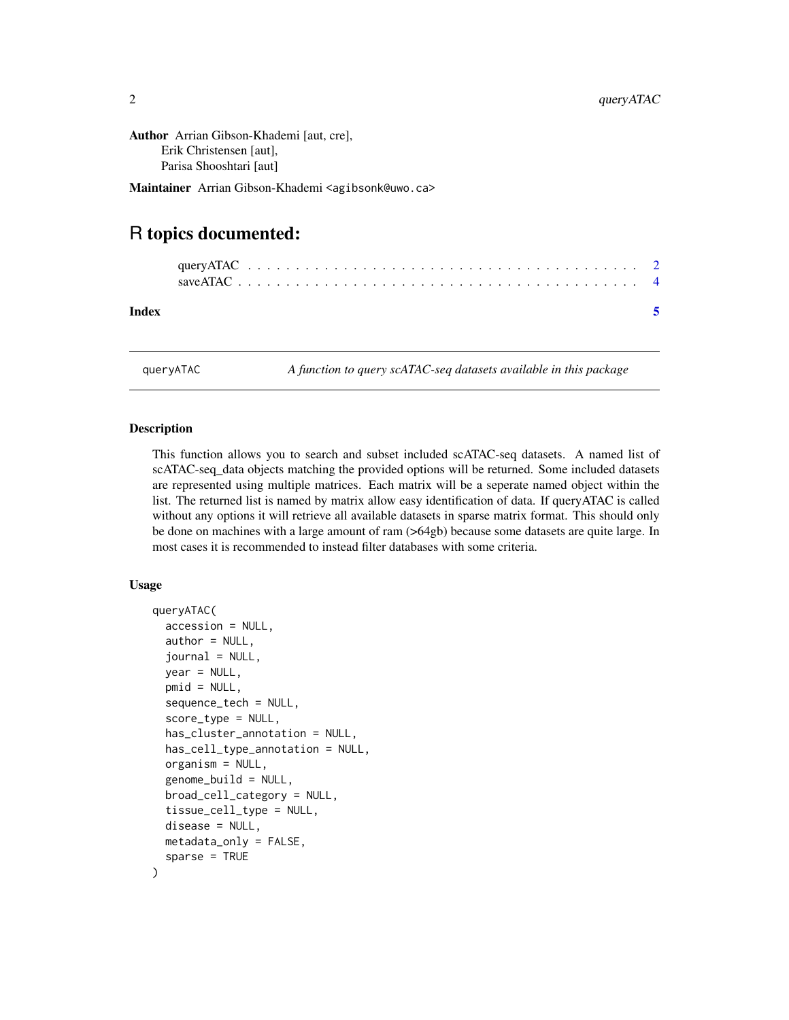<span id="page-1-0"></span>Author Arrian Gibson-Khademi [aut, cre], Erik Christensen [aut], Parisa Shooshtari [aut]

Maintainer Arrian Gibson-Khademi <agibsonk@uwo.ca>

### R topics documented:

| Index |  |  |  |  |  |  |  |  |  |  |  |  |  |  |  |  |  |
|-------|--|--|--|--|--|--|--|--|--|--|--|--|--|--|--|--|--|

queryATAC *A function to query scATAC-seq datasets available in this package*

#### **Description**

This function allows you to search and subset included scATAC-seq datasets. A named list of scATAC-seq\_data objects matching the provided options will be returned. Some included datasets are represented using multiple matrices. Each matrix will be a seperate named object within the list. The returned list is named by matrix allow easy identification of data. If queryATAC is called without any options it will retrieve all available datasets in sparse matrix format. This should only be done on machines with a large amount of ram (>64gb) because some datasets are quite large. In most cases it is recommended to instead filter databases with some criteria.

#### Usage

```
queryATAC(
  accession = NULL,
  author = NULL,
  journal = NULL,
  year = NULL,
  pmid = NULL,
  sequence_tech = NULL,
  score_type = NULL,
  has_cluster_annotation = NULL,
  has_cell_type_annotation = NULL,
  organism = NULL,
  genome_build = NULL,
  broad_cell_category = NULL,
  tissue_cell_type = NULL,
  disease = NULL,
 metadata_only = FALSE,
  sparse = TRUE
)
```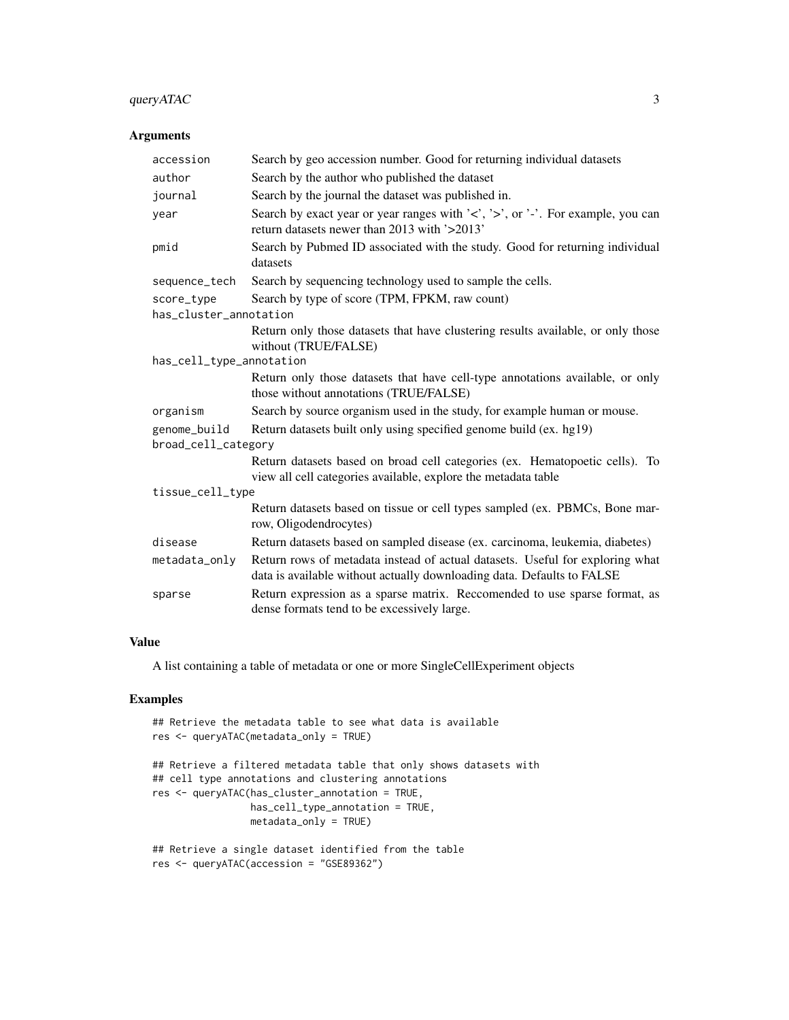#### queryATAC 3

#### Arguments

| accession                           | Search by geo accession number. Good for returning individual datasets                                                                                  |  |  |  |  |  |  |  |  |  |  |
|-------------------------------------|---------------------------------------------------------------------------------------------------------------------------------------------------------|--|--|--|--|--|--|--|--|--|--|
| author                              | Search by the author who published the dataset                                                                                                          |  |  |  |  |  |  |  |  |  |  |
| journal                             | Search by the journal the dataset was published in.                                                                                                     |  |  |  |  |  |  |  |  |  |  |
| year                                | Search by exact year or year ranges with '<', '>', or '-'. For example, you can<br>return datasets newer than 2013 with '>2013'                         |  |  |  |  |  |  |  |  |  |  |
| pmid                                | Search by Pubmed ID associated with the study. Good for returning individual<br>datasets                                                                |  |  |  |  |  |  |  |  |  |  |
| sequence_tech                       | Search by sequencing technology used to sample the cells.                                                                                               |  |  |  |  |  |  |  |  |  |  |
| score_type                          | Search by type of score (TPM, FPKM, raw count)                                                                                                          |  |  |  |  |  |  |  |  |  |  |
| has_cluster_annotation              |                                                                                                                                                         |  |  |  |  |  |  |  |  |  |  |
|                                     | Return only those datasets that have clustering results available, or only those<br>without (TRUE/FALSE)                                                |  |  |  |  |  |  |  |  |  |  |
| has_cell_type_annotation            |                                                                                                                                                         |  |  |  |  |  |  |  |  |  |  |
|                                     | Return only those datasets that have cell-type annotations available, or only<br>those without annotations (TRUE/FALSE)                                 |  |  |  |  |  |  |  |  |  |  |
| organism                            | Search by source organism used in the study, for example human or mouse.                                                                                |  |  |  |  |  |  |  |  |  |  |
| genome_build<br>broad_cell_category | Return datasets built only using specified genome build (ex. hg19)                                                                                      |  |  |  |  |  |  |  |  |  |  |
|                                     | Return datasets based on broad cell categories (ex. Hematopoetic cells). To<br>view all cell categories available, explore the metadata table           |  |  |  |  |  |  |  |  |  |  |
| tissue_cell_type                    |                                                                                                                                                         |  |  |  |  |  |  |  |  |  |  |
|                                     | Return datasets based on tissue or cell types sampled (ex. PBMCs, Bone mar-<br>row, Oligodendrocytes)                                                   |  |  |  |  |  |  |  |  |  |  |
| disease                             | Return datasets based on sampled disease (ex. carcinoma, leukemia, diabetes)                                                                            |  |  |  |  |  |  |  |  |  |  |
| metadata_only                       | Return rows of metadata instead of actual datasets. Useful for exploring what<br>data is available without actually downloading data. Defaults to FALSE |  |  |  |  |  |  |  |  |  |  |
| sparse                              | Return expression as a sparse matrix. Reccomended to use sparse format, as<br>dense formats tend to be excessively large.                               |  |  |  |  |  |  |  |  |  |  |

#### Value

A list containing a table of metadata or one or more SingleCellExperiment objects

#### Examples

```
## Retrieve the metadata table to see what data is available
res <- queryATAC(metadata_only = TRUE)
## Retrieve a filtered metadata table that only shows datasets with
## cell type annotations and clustering annotations
res <- queryATAC(has_cluster_annotation = TRUE,
                 has_cell_type_annotation = TRUE,
                 metadata_only = TRUE)
## Retrieve a single dataset identified from the table
res <- queryATAC(accession = "GSE89362")
```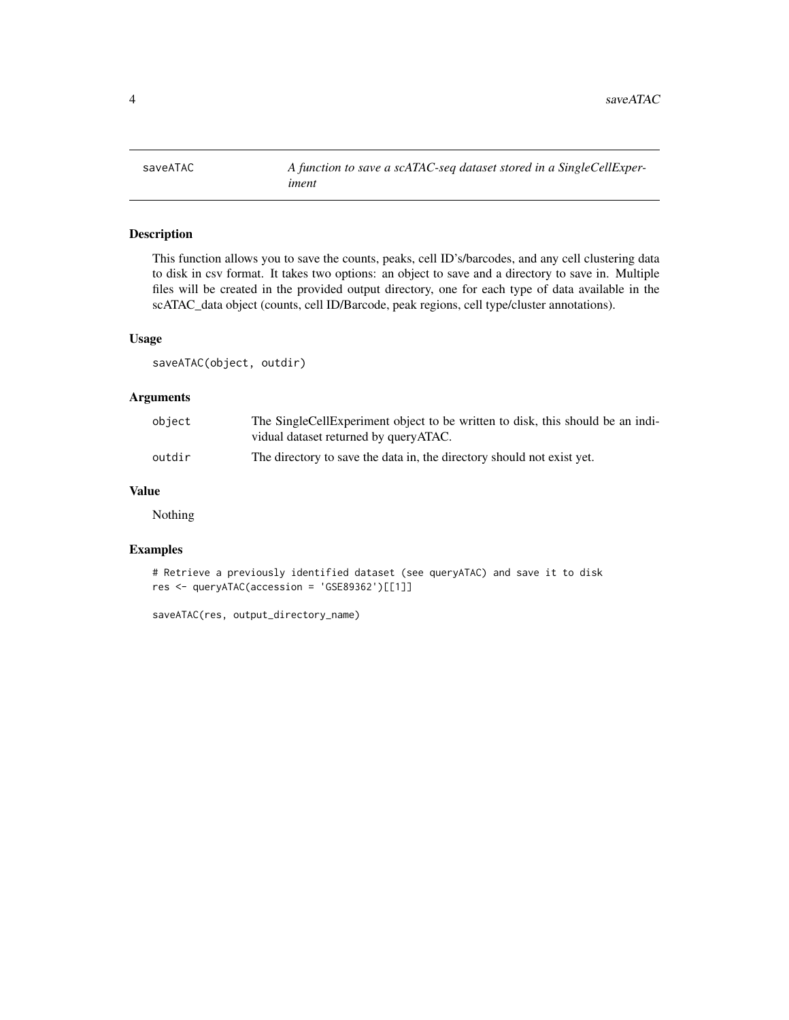<span id="page-3-0"></span>

#### Description

This function allows you to save the counts, peaks, cell ID's/barcodes, and any cell clustering data to disk in csv format. It takes two options: an object to save and a directory to save in. Multiple files will be created in the provided output directory, one for each type of data available in the scATAC\_data object (counts, cell ID/Barcode, peak regions, cell type/cluster annotations).

#### Usage

saveATAC(object, outdir)

#### Arguments

| object | The SingleCellExperiment object to be written to disk, this should be an indi-<br>vidual dataset returned by queryATAC. |
|--------|-------------------------------------------------------------------------------------------------------------------------|
| outdir | The directory to save the data in, the directory should not exist yet.                                                  |

#### Value

Nothing

#### Examples

```
# Retrieve a previously identified dataset (see queryATAC) and save it to disk
res <- queryATAC(accession = 'GSE89362')[[1]]
```
saveATAC(res, output\_directory\_name)